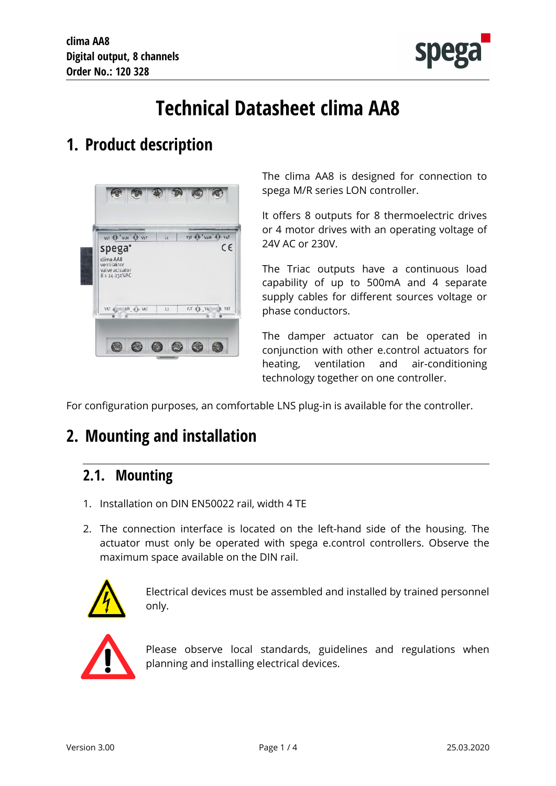

# **Technical Datasheet clima AA8**

## **1. Product description**



The clima AA8 is designed for connection to spega M/R series LON controller.

It offers 8 outputs for 8 thermoelectric drives or 4 motor drives with an operating voltage of 24V AC or 230V.

The Triac outputs have a continuous load capability of up to 500mA and 4 separate supply cables for different sources voltage or phase conductors.

The damper actuator can be operated in conjunction with other e.control actuators for heating, ventilation and air-conditioning technology together on one controller.

For configuration purposes, an comfortable LNS plug-in is available for the controller.

## **2. Mounting and installation**

#### **2.1. Mounting**

- 1. Installation on DIN EN50022 rail, width 4 TE
- 2. The connection interface is located on the left-hand side of the housing. The actuator must only be operated with spega e.control controllers. Observe the maximum space available on the DIN rail.



Electrical devices must be assembled and installed by trained personnel only.



Please observe local standards, guidelines and regulations when planning and installing electrical devices.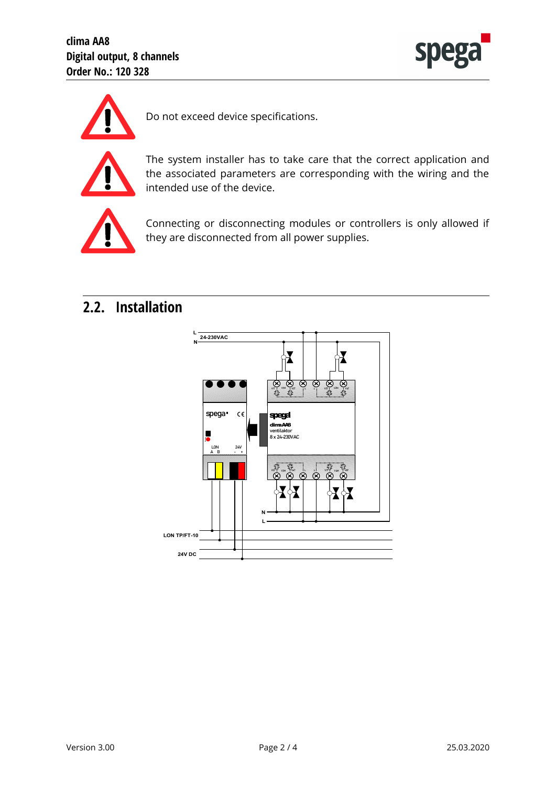



Do not exceed device specifications.



The system installer has to take care that the correct application and the associated parameters are corresponding with the wiring and the intended use of the device.



Connecting or disconnecting modules or controllers is only allowed if they are disconnected from all power supplies.

#### **2.2. Installation**

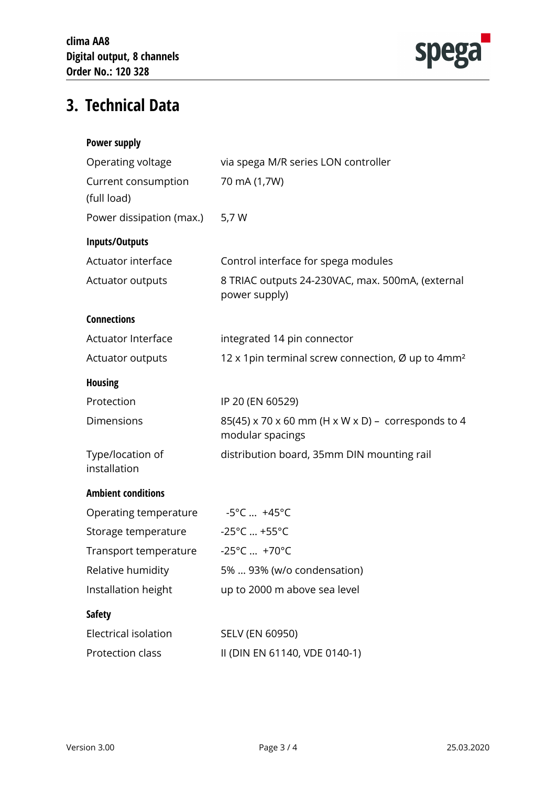

## **3. Technical Data**

| <b>Power supply</b>                |                                                                        |
|------------------------------------|------------------------------------------------------------------------|
| Operating voltage                  | via spega M/R series LON controller                                    |
| Current consumption<br>(full load) | 70 mA (1,7W)                                                           |
| Power dissipation (max.)           | 5,7 W                                                                  |
| Inputs/Outputs                     |                                                                        |
| Actuator interface                 | Control interface for spega modules                                    |
| Actuator outputs                   | 8 TRIAC outputs 24-230VAC, max. 500mA, (external<br>power supply)      |
| <b>Connections</b>                 |                                                                        |
| <b>Actuator Interface</b>          | integrated 14 pin connector                                            |
| Actuator outputs                   | 12 x 1pin terminal screw connection, Ø up to 4mm <sup>2</sup>          |
| <b>Housing</b>                     |                                                                        |
| Protection                         | IP 20 (EN 60529)                                                       |
| <b>Dimensions</b>                  | 85(45) x 70 x 60 mm (H x W x D) - corresponds to 4<br>modular spacings |
| Type/location of<br>installation   | distribution board, 35mm DIN mounting rail                             |
| <b>Ambient conditions</b>          |                                                                        |
| Operating temperature              | $-5^{\circ}$ C $+45^{\circ}$ C                                         |
| Storage temperature                | $-25^{\circ}$ C  +55°C                                                 |
| Transport temperature              | $-25^{\circ}$ C  +70 $^{\circ}$ C                                      |
| Relative humidity                  | 5%  93% (w/o condensation)                                             |
| Installation height                | up to 2000 m above sea level                                           |
| <b>Safety</b>                      |                                                                        |
| Electrical isolation               | SELV (EN 60950)                                                        |
| Protection class                   | II (DIN EN 61140, VDE 0140-1)                                          |